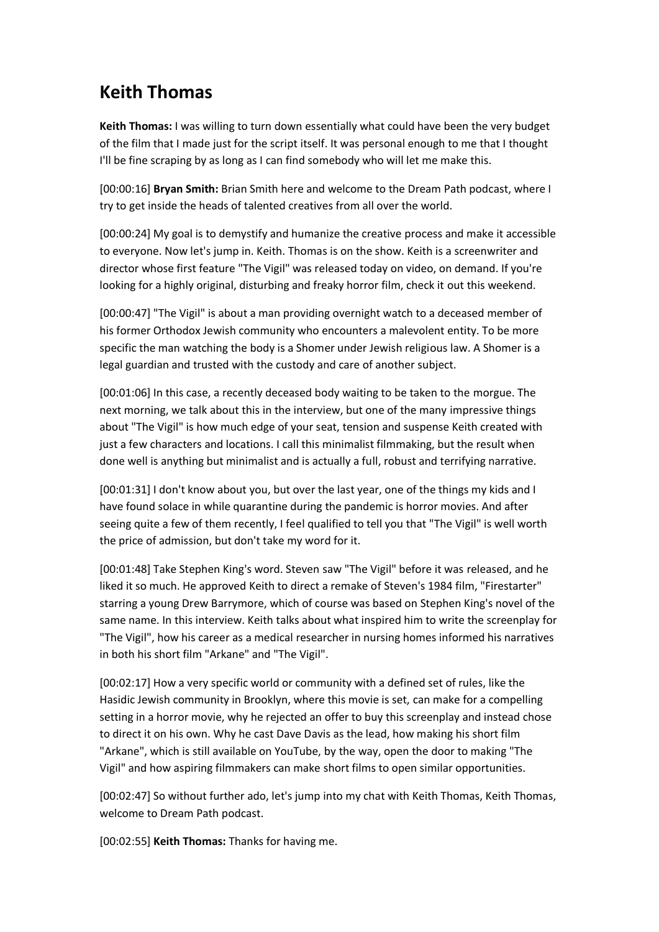## **Keith Thomas**

**Keith Thomas:** I was willing to turn down essentially what could have been the very budget of the film that I made just for the script itself. It was personal enough to me that I thought I'll be fine scraping by as long as I can find somebody who will let me make this.

[00:00:16] **Bryan Smith:** Brian Smith here and welcome to the Dream Path podcast, where I try to get inside the heads of talented creatives from all over the world.

[00:00:24] My goal is to demystify and humanize the creative process and make it accessible to everyone. Now let's jump in. Keith. Thomas is on the show. Keith is a screenwriter and director whose first feature "The Vigil" was released today on video, on demand. If you're looking for a highly original, disturbing and freaky horror film, check it out this weekend.

[00:00:47] "The Vigil" is about a man providing overnight watch to a deceased member of his former Orthodox Jewish community who encounters a malevolent entity. To be more specific the man watching the body is a Shomer under Jewish religious law. A Shomer is a legal guardian and trusted with the custody and care of another subject.

[00:01:06] In this case, a recently deceased body waiting to be taken to the morgue. The next morning, we talk about this in the interview, but one of the many impressive things about "The Vigil" is how much edge of your seat, tension and suspense Keith created with just a few characters and locations. I call this minimalist filmmaking, but the result when done well is anything but minimalist and is actually a full, robust and terrifying narrative.

[00:01:31] I don't know about you, but over the last year, one of the things my kids and I have found solace in while quarantine during the pandemic is horror movies. And after seeing quite a few of them recently, I feel qualified to tell you that "The Vigil" is well worth the price of admission, but don't take my word for it.

[00:01:48] Take Stephen King's word. Steven saw "The Vigil" before it was released, and he liked it so much. He approved Keith to direct a remake of Steven's 1984 film, "Firestarter" starring a young Drew Barrymore, which of course was based on Stephen King's novel of the same name. In this interview. Keith talks about what inspired him to write the screenplay for "The Vigil", how his career as a medical researcher in nursing homes informed his narratives in both his short film "Arkane" and "The Vigil".

[00:02:17] How a very specific world or community with a defined set of rules, like the Hasidic Jewish community in Brooklyn, where this movie is set, can make for a compelling setting in a horror movie, why he rejected an offer to buy this screenplay and instead chose to direct it on his own. Why he cast Dave Davis as the lead, how making his short film "Arkane", which is still available on YouTube, by the way, open the door to making "The Vigil" and how aspiring filmmakers can make short films to open similar opportunities.

[00:02:47] So without further ado, let's jump into my chat with Keith Thomas, Keith Thomas, welcome to Dream Path podcast.

[00:02:55] **Keith Thomas:** Thanks for having me.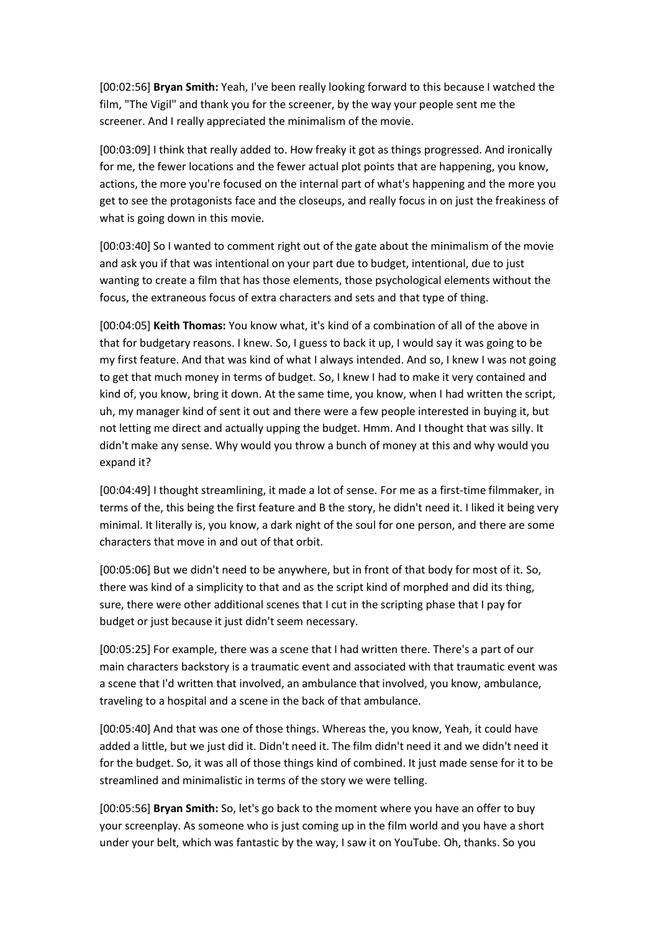[00:02:56] **Bryan Smith:** Yeah, I've been really looking forward to this because I watched the film, "The Vigil" and thank you for the screener, by the way your people sent me the screener. And I really appreciated the minimalism of the movie.

[00:03:09] I think that really added to. How freaky it got as things progressed. And ironically for me, the fewer locations and the fewer actual plot points that are happening, you know, actions, the more you're focused on the internal part of what's happening and the more you get to see the protagonists face and the closeups, and really focus in on just the freakiness of what is going down in this movie.

[00:03:40] So I wanted to comment right out of the gate about the minimalism of the movie and ask you if that was intentional on your part due to budget, intentional, due to just wanting to create a film that has those elements, those psychological elements without the focus, the extraneous focus of extra characters and sets and that type of thing.

[00:04:05] **Keith Thomas:** You know what, it's kind of a combination of all of the above in that for budgetary reasons. I knew. So, I guess to back it up, I would say it was going to be my first feature. And that was kind of what I always intended. And so, I knew I was not going to get that much money in terms of budget. So, I knew I had to make it very contained and kind of, you know, bring it down. At the same time, you know, when I had written the script, uh, my manager kind of sent it out and there were a few people interested in buying it, but not letting me direct and actually upping the budget. Hmm. And I thought that was silly. It didn't make any sense. Why would you throw a bunch of money at this and why would you expand it?

[00:04:49] I thought streamlining, it made a lot of sense. For me as a first-time filmmaker, in terms of the, this being the first feature and B the story, he didn't need it. I liked it being very minimal. It literally is, you know, a dark night of the soul for one person, and there are some characters that move in and out of that orbit.

[00:05:06] But we didn't need to be anywhere, but in front of that body for most of it. So, there was kind of a simplicity to that and as the script kind of morphed and did its thing, sure, there were other additional scenes that I cut in the scripting phase that I pay for budget or just because it just didn't seem necessary.

[00:05:25] For example, there was a scene that I had written there. There's a part of our main characters backstory is a traumatic event and associated with that traumatic event was a scene that I'd written that involved, an ambulance that involved, you know, ambulance, traveling to a hospital and a scene in the back of that ambulance.

[00:05:40] And that was one of those things. Whereas the, you know, Yeah, it could have added a little, but we just did it. Didn't need it. The film didn't need it and we didn't need it for the budget. So, it was all of those things kind of combined. It just made sense for it to be streamlined and minimalistic in terms of the story we were telling.

[00:05:56] **Bryan Smith:** So, let's go back to the moment where you have an offer to buy your screenplay. As someone who is just coming up in the film world and you have a short under your belt, which was fantastic by the way, I saw it on YouTube. Oh, thanks. So you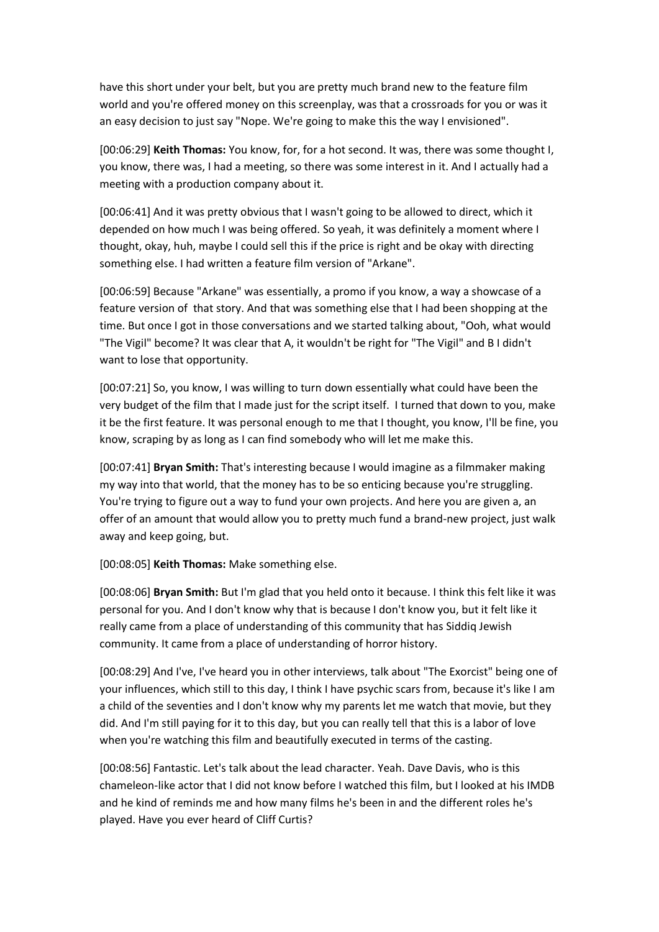have this short under your belt, but you are pretty much brand new to the feature film world and you're offered money on this screenplay, was that a crossroads for you or was it an easy decision to just say "Nope. We're going to make this the way I envisioned".

[00:06:29] **Keith Thomas:** You know, for, for a hot second. It was, there was some thought I, you know, there was, I had a meeting, so there was some interest in it. And I actually had a meeting with a production company about it.

[00:06:41] And it was pretty obvious that I wasn't going to be allowed to direct, which it depended on how much I was being offered. So yeah, it was definitely a moment where I thought, okay, huh, maybe I could sell this if the price is right and be okay with directing something else. I had written a feature film version of "Arkane".

[00:06:59] Because "Arkane" was essentially, a promo if you know, a way a showcase of a feature version of that story. And that was something else that I had been shopping at the time. But once I got in those conversations and we started talking about, "Ooh, what would "The Vigil" become? It was clear that A, it wouldn't be right for "The Vigil" and B I didn't want to lose that opportunity.

[00:07:21] So, you know, I was willing to turn down essentially what could have been the very budget of the film that I made just for the script itself. I turned that down to you, make it be the first feature. It was personal enough to me that I thought, you know, I'll be fine, you know, scraping by as long as I can find somebody who will let me make this.

[00:07:41] **Bryan Smith:** That's interesting because I would imagine as a filmmaker making my way into that world, that the money has to be so enticing because you're struggling. You're trying to figure out a way to fund your own projects. And here you are given a, an offer of an amount that would allow you to pretty much fund a brand-new project, just walk away and keep going, but.

[00:08:05] **Keith Thomas:** Make something else.

[00:08:06] **Bryan Smith:** But I'm glad that you held onto it because. I think this felt like it was personal for you. And I don't know why that is because I don't know you, but it felt like it really came from a place of understanding of this community that has Siddiq Jewish community. It came from a place of understanding of horror history.

[00:08:29] And I've, I've heard you in other interviews, talk about "The Exorcist" being one of your influences, which still to this day, I think I have psychic scars from, because it's like I am a child of the seventies and I don't know why my parents let me watch that movie, but they did. And I'm still paying for it to this day, but you can really tell that this is a labor of love when you're watching this film and beautifully executed in terms of the casting.

[00:08:56] Fantastic. Let's talk about the lead character. Yeah. Dave Davis, who is this chameleon-like actor that I did not know before I watched this film, but I looked at his IMDB and he kind of reminds me and how many films he's been in and the different roles he's played. Have you ever heard of Cliff Curtis?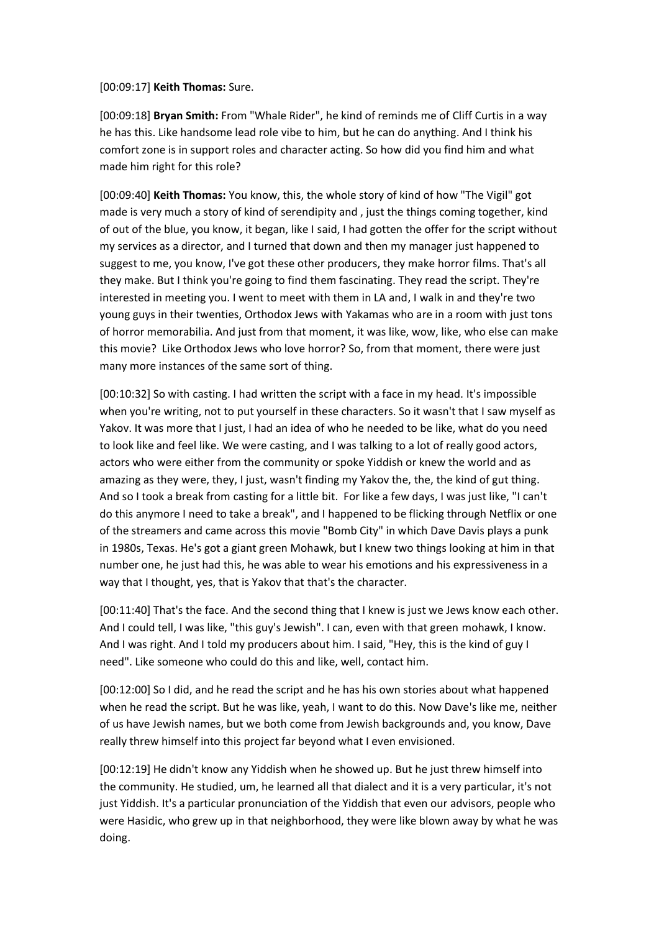[00:09:17] **Keith Thomas:** Sure.

[00:09:18] **Bryan Smith:** From "Whale Rider", he kind of reminds me of Cliff Curtis in a way he has this. Like handsome lead role vibe to him, but he can do anything. And I think his comfort zone is in support roles and character acting. So how did you find him and what made him right for this role?

[00:09:40] **Keith Thomas:** You know, this, the whole story of kind of how "The Vigil" got made is very much a story of kind of serendipity and , just the things coming together, kind of out of the blue, you know, it began, like I said, I had gotten the offer for the script without my services as a director, and I turned that down and then my manager just happened to suggest to me, you know, I've got these other producers, they make horror films. That's all they make. But I think you're going to find them fascinating. They read the script. They're interested in meeting you. I went to meet with them in LA and, I walk in and they're two young guys in their twenties, Orthodox Jews with Yakamas who are in a room with just tons of horror memorabilia. And just from that moment, it was like, wow, like, who else can make this movie? Like Orthodox Jews who love horror? So, from that moment, there were just many more instances of the same sort of thing.

[00:10:32] So with casting. I had written the script with a face in my head. It's impossible when you're writing, not to put yourself in these characters. So it wasn't that I saw myself as Yakov. It was more that I just, I had an idea of who he needed to be like, what do you need to look like and feel like. We were casting, and I was talking to a lot of really good actors, actors who were either from the community or spoke Yiddish or knew the world and as amazing as they were, they, I just, wasn't finding my Yakov the, the, the kind of gut thing. And so I took a break from casting for a little bit. For like a few days, I was just like, "I can't do this anymore I need to take a break", and I happened to be flicking through Netflix or one of the streamers and came across this movie "Bomb City" in which Dave Davis plays a punk in 1980s, Texas. He's got a giant green Mohawk, but I knew two things looking at him in that number one, he just had this, he was able to wear his emotions and his expressiveness in a way that I thought, yes, that is Yakov that that's the character.

[00:11:40] That's the face. And the second thing that I knew is just we Jews know each other. And I could tell, I was like, "this guy's Jewish". I can, even with that green mohawk, I know. And I was right. And I told my producers about him. I said, "Hey, this is the kind of guy I need". Like someone who could do this and like, well, contact him.

[00:12:00] So I did, and he read the script and he has his own stories about what happened when he read the script. But he was like, yeah, I want to do this. Now Dave's like me, neither of us have Jewish names, but we both come from Jewish backgrounds and, you know, Dave really threw himself into this project far beyond what I even envisioned.

[00:12:19] He didn't know any Yiddish when he showed up. But he just threw himself into the community. He studied, um, he learned all that dialect and it is a very particular, it's not just Yiddish. It's a particular pronunciation of the Yiddish that even our advisors, people who were Hasidic, who grew up in that neighborhood, they were like blown away by what he was doing.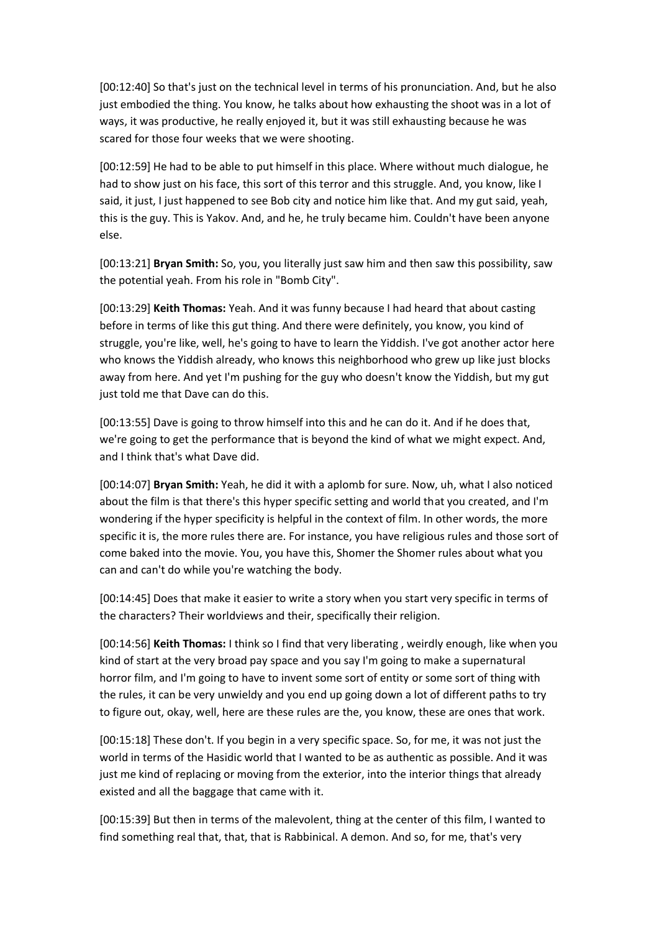[00:12:40] So that's just on the technical level in terms of his pronunciation. And, but he also just embodied the thing. You know, he talks about how exhausting the shoot was in a lot of ways, it was productive, he really enjoyed it, but it was still exhausting because he was scared for those four weeks that we were shooting.

[00:12:59] He had to be able to put himself in this place. Where without much dialogue, he had to show just on his face, this sort of this terror and this struggle. And, you know, like I said, it just, I just happened to see Bob city and notice him like that. And my gut said, yeah, this is the guy. This is Yakov. And, and he, he truly became him. Couldn't have been anyone else.

[00:13:21] **Bryan Smith:** So, you, you literally just saw him and then saw this possibility, saw the potential yeah. From his role in "Bomb City".

[00:13:29] **Keith Thomas:** Yeah. And it was funny because I had heard that about casting before in terms of like this gut thing. And there were definitely, you know, you kind of struggle, you're like, well, he's going to have to learn the Yiddish. I've got another actor here who knows the Yiddish already, who knows this neighborhood who grew up like just blocks away from here. And yet I'm pushing for the guy who doesn't know the Yiddish, but my gut just told me that Dave can do this.

[00:13:55] Dave is going to throw himself into this and he can do it. And if he does that, we're going to get the performance that is beyond the kind of what we might expect. And, and I think that's what Dave did.

[00:14:07] **Bryan Smith:** Yeah, he did it with a aplomb for sure. Now, uh, what I also noticed about the film is that there's this hyper specific setting and world that you created, and I'm wondering if the hyper specificity is helpful in the context of film. In other words, the more specific it is, the more rules there are. For instance, you have religious rules and those sort of come baked into the movie. You, you have this, Shomer the Shomer rules about what you can and can't do while you're watching the body.

[00:14:45] Does that make it easier to write a story when you start very specific in terms of the characters? Their worldviews and their, specifically their religion.

[00:14:56] **Keith Thomas:** I think so I find that very liberating , weirdly enough, like when you kind of start at the very broad pay space and you say I'm going to make a supernatural horror film, and I'm going to have to invent some sort of entity or some sort of thing with the rules, it can be very unwieldy and you end up going down a lot of different paths to try to figure out, okay, well, here are these rules are the, you know, these are ones that work.

[00:15:18] These don't. If you begin in a very specific space. So, for me, it was not just the world in terms of the Hasidic world that I wanted to be as authentic as possible. And it was just me kind of replacing or moving from the exterior, into the interior things that already existed and all the baggage that came with it.

[00:15:39] But then in terms of the malevolent, thing at the center of this film, I wanted to find something real that, that, that is Rabbinical. A demon. And so, for me, that's very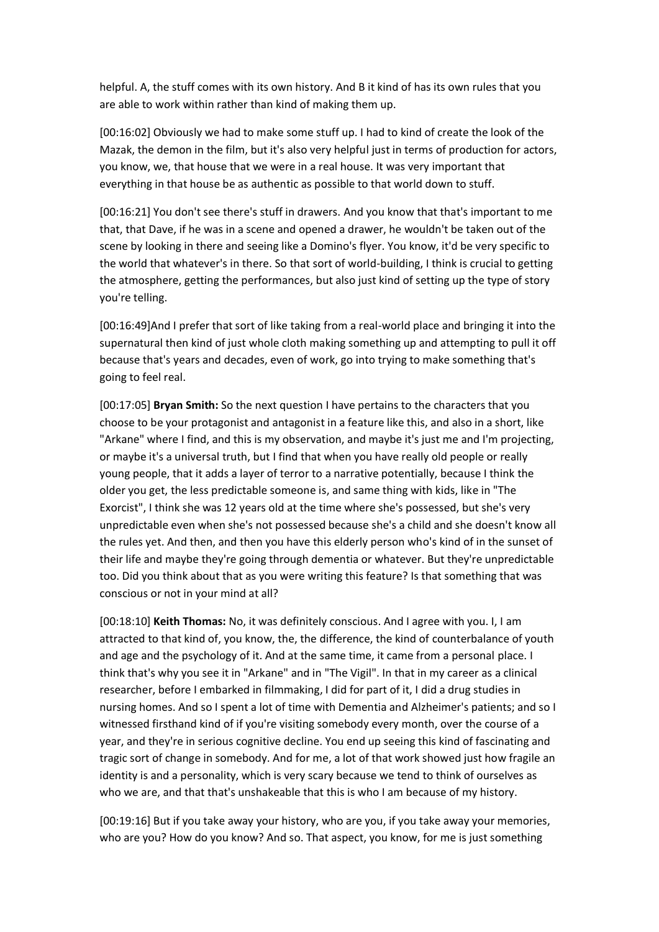helpful. A, the stuff comes with its own history. And B it kind of has its own rules that you are able to work within rather than kind of making them up.

[00:16:02] Obviously we had to make some stuff up. I had to kind of create the look of the Mazak, the demon in the film, but it's also very helpful just in terms of production for actors, you know, we, that house that we were in a real house. It was very important that everything in that house be as authentic as possible to that world down to stuff.

[00:16:21] You don't see there's stuff in drawers. And you know that that's important to me that, that Dave, if he was in a scene and opened a drawer, he wouldn't be taken out of the scene by looking in there and seeing like a Domino's flyer. You know, it'd be very specific to the world that whatever's in there. So that sort of world-building, I think is crucial to getting the atmosphere, getting the performances, but also just kind of setting up the type of story you're telling.

[00:16:49]And I prefer that sort of like taking from a real-world place and bringing it into the supernatural then kind of just whole cloth making something up and attempting to pull it off because that's years and decades, even of work, go into trying to make something that's going to feel real.

[00:17:05] **Bryan Smith:** So the next question I have pertains to the characters that you choose to be your protagonist and antagonist in a feature like this, and also in a short, like "Arkane" where I find, and this is my observation, and maybe it's just me and I'm projecting, or maybe it's a universal truth, but I find that when you have really old people or really young people, that it adds a layer of terror to a narrative potentially, because I think the older you get, the less predictable someone is, and same thing with kids, like in "The Exorcist", I think she was 12 years old at the time where she's possessed, but she's very unpredictable even when she's not possessed because she's a child and she doesn't know all the rules yet. And then, and then you have this elderly person who's kind of in the sunset of their life and maybe they're going through dementia or whatever. But they're unpredictable too. Did you think about that as you were writing this feature? Is that something that was conscious or not in your mind at all?

[00:18:10] **Keith Thomas:** No, it was definitely conscious. And I agree with you. I, I am attracted to that kind of, you know, the, the difference, the kind of counterbalance of youth and age and the psychology of it. And at the same time, it came from a personal place. I think that's why you see it in "Arkane" and in "The Vigil". In that in my career as a clinical researcher, before I embarked in filmmaking, I did for part of it, I did a drug studies in nursing homes. And so I spent a lot of time with Dementia and Alzheimer's patients; and so I witnessed firsthand kind of if you're visiting somebody every month, over the course of a year, and they're in serious cognitive decline. You end up seeing this kind of fascinating and tragic sort of change in somebody. And for me, a lot of that work showed just how fragile an identity is and a personality, which is very scary because we tend to think of ourselves as who we are, and that that's unshakeable that this is who I am because of my history.

[00:19:16] But if you take away your history, who are you, if you take away your memories, who are you? How do you know? And so. That aspect, you know, for me is just something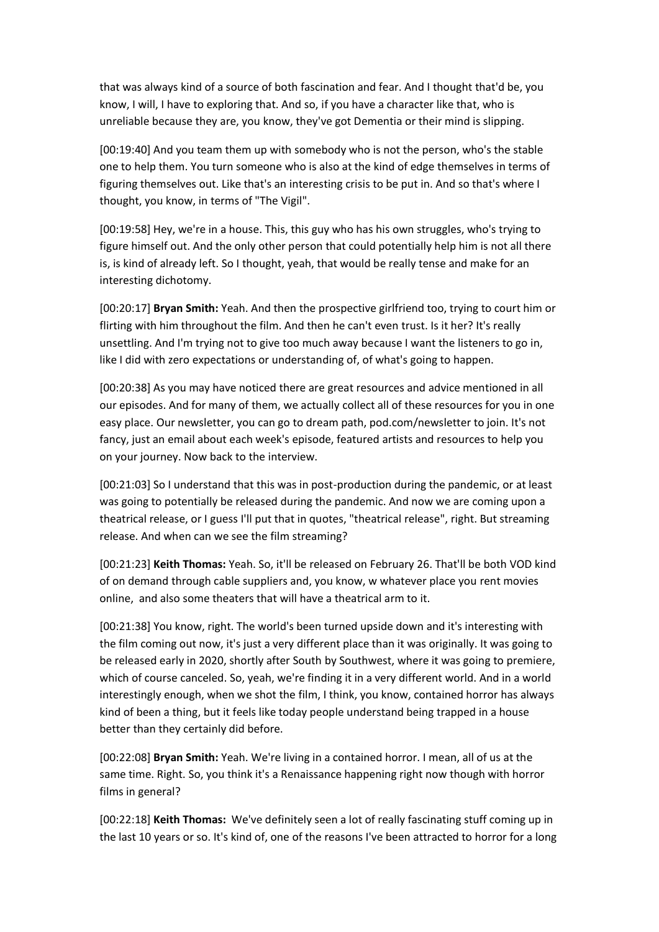that was always kind of a source of both fascination and fear. And I thought that'd be, you know, I will, I have to exploring that. And so, if you have a character like that, who is unreliable because they are, you know, they've got Dementia or their mind is slipping.

[00:19:40] And you team them up with somebody who is not the person, who's the stable one to help them. You turn someone who is also at the kind of edge themselves in terms of figuring themselves out. Like that's an interesting crisis to be put in. And so that's where I thought, you know, in terms of "The Vigil".

[00:19:58] Hey, we're in a house. This, this guy who has his own struggles, who's trying to figure himself out. And the only other person that could potentially help him is not all there is, is kind of already left. So I thought, yeah, that would be really tense and make for an interesting dichotomy.

[00:20:17] **Bryan Smith:** Yeah. And then the prospective girlfriend too, trying to court him or flirting with him throughout the film. And then he can't even trust. Is it her? It's really unsettling. And I'm trying not to give too much away because I want the listeners to go in, like I did with zero expectations or understanding of, of what's going to happen.

[00:20:38] As you may have noticed there are great resources and advice mentioned in all our episodes. And for many of them, we actually collect all of these resources for you in one easy place. Our newsletter, you can go to dream path, pod.com/newsletter to join. It's not fancy, just an email about each week's episode, featured artists and resources to help you on your journey. Now back to the interview.

[00:21:03] So I understand that this was in post-production during the pandemic, or at least was going to potentially be released during the pandemic. And now we are coming upon a theatrical release, or I guess I'll put that in quotes, "theatrical release", right. But streaming release. And when can we see the film streaming?

[00:21:23] **Keith Thomas:** Yeah. So, it'll be released on February 26. That'll be both VOD kind of on demand through cable suppliers and, you know, w whatever place you rent movies online, and also some theaters that will have a theatrical arm to it.

[00:21:38] You know, right. The world's been turned upside down and it's interesting with the film coming out now, it's just a very different place than it was originally. It was going to be released early in 2020, shortly after South by Southwest, where it was going to premiere, which of course canceled. So, yeah, we're finding it in a very different world. And in a world interestingly enough, when we shot the film, I think, you know, contained horror has always kind of been a thing, but it feels like today people understand being trapped in a house better than they certainly did before.

[00:22:08] **Bryan Smith:** Yeah. We're living in a contained horror. I mean, all of us at the same time. Right. So, you think it's a Renaissance happening right now though with horror films in general?

[00:22:18] **Keith Thomas:** We've definitely seen a lot of really fascinating stuff coming up in the last 10 years or so. It's kind of, one of the reasons I've been attracted to horror for a long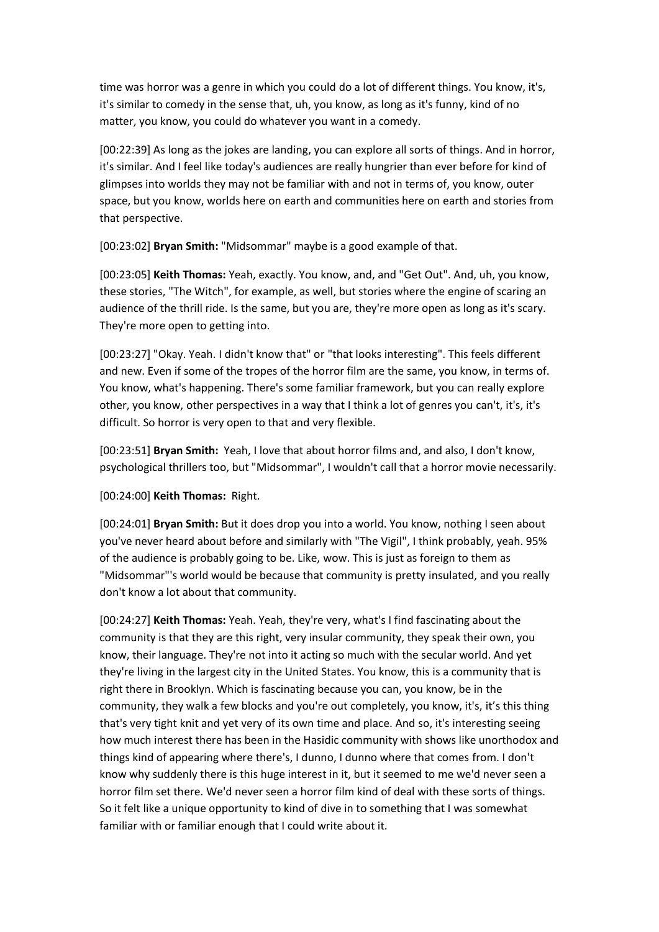time was horror was a genre in which you could do a lot of different things. You know, it's, it's similar to comedy in the sense that, uh, you know, as long as it's funny, kind of no matter, you know, you could do whatever you want in a comedy.

[00:22:39] As long as the jokes are landing, you can explore all sorts of things. And in horror, it's similar. And I feel like today's audiences are really hungrier than ever before for kind of glimpses into worlds they may not be familiar with and not in terms of, you know, outer space, but you know, worlds here on earth and communities here on earth and stories from that perspective.

[00:23:02] **Bryan Smith:** "Midsommar" maybe is a good example of that.

[00:23:05] **Keith Thomas:** Yeah, exactly. You know, and, and "Get Out". And, uh, you know, these stories, "The Witch", for example, as well, but stories where the engine of scaring an audience of the thrill ride. Is the same, but you are, they're more open as long as it's scary. They're more open to getting into.

[00:23:27] "Okay. Yeah. I didn't know that" or "that looks interesting". This feels different and new. Even if some of the tropes of the horror film are the same, you know, in terms of. You know, what's happening. There's some familiar framework, but you can really explore other, you know, other perspectives in a way that I think a lot of genres you can't, it's, it's difficult. So horror is very open to that and very flexible.

[00:23:51] **Bryan Smith:** Yeah, I love that about horror films and, and also, I don't know, psychological thrillers too, but "Midsommar", I wouldn't call that a horror movie necessarily.

[00:24:00] **Keith Thomas:** Right.

[00:24:01] **Bryan Smith:** But it does drop you into a world. You know, nothing I seen about you've never heard about before and similarly with "The Vigil", I think probably, yeah. 95% of the audience is probably going to be. Like, wow. This is just as foreign to them as "Midsommar"'s world would be because that community is pretty insulated, and you really don't know a lot about that community.

[00:24:27] **Keith Thomas:** Yeah. Yeah, they're very, what's I find fascinating about the community is that they are this right, very insular community, they speak their own, you know, their language. They're not into it acting so much with the secular world. And yet they're living in the largest city in the United States. You know, this is a community that is right there in Brooklyn. Which is fascinating because you can, you know, be in the community, they walk a few blocks and you're out completely, you know, it's, it's this thing that's very tight knit and yet very of its own time and place. And so, it's interesting seeing how much interest there has been in the Hasidic community with shows like unorthodox and things kind of appearing where there's, I dunno, I dunno where that comes from. I don't know why suddenly there is this huge interest in it, but it seemed to me we'd never seen a horror film set there. We'd never seen a horror film kind of deal with these sorts of things. So it felt like a unique opportunity to kind of dive in to something that I was somewhat familiar with or familiar enough that I could write about it.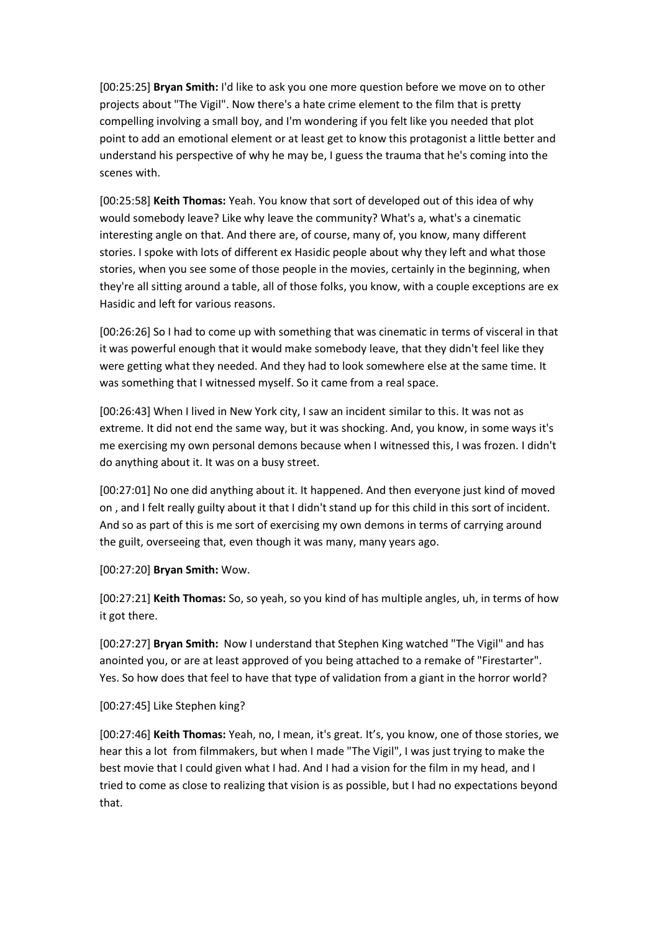[00:25:25] **Bryan Smith:** I'd like to ask you one more question before we move on to other projects about "The Vigil". Now there's a hate crime element to the film that is pretty compelling involving a small boy, and I'm wondering if you felt like you needed that plot point to add an emotional element or at least get to know this protagonist a little better and understand his perspective of why he may be, I guess the trauma that he's coming into the scenes with.

[00:25:58] **Keith Thomas:** Yeah. You know that sort of developed out of this idea of why would somebody leave? Like why leave the community? What's a, what's a cinematic interesting angle on that. And there are, of course, many of, you know, many different stories. I spoke with lots of different ex Hasidic people about why they left and what those stories, when you see some of those people in the movies, certainly in the beginning, when they're all sitting around a table, all of those folks, you know, with a couple exceptions are ex Hasidic and left for various reasons.

[00:26:26] So I had to come up with something that was cinematic in terms of visceral in that it was powerful enough that it would make somebody leave, that they didn't feel like they were getting what they needed. And they had to look somewhere else at the same time. It was something that I witnessed myself. So it came from a real space.

[00:26:43] When I lived in New York city, I saw an incident similar to this. It was not as extreme. It did not end the same way, but it was shocking. And, you know, in some ways it's me exercising my own personal demons because when I witnessed this, I was frozen. I didn't do anything about it. It was on a busy street.

[00:27:01] No one did anything about it. It happened. And then everyone just kind of moved on , and I felt really guilty about it that I didn't stand up for this child in this sort of incident. And so as part of this is me sort of exercising my own demons in terms of carrying around the guilt, overseeing that, even though it was many, many years ago.

[00:27:20] **Bryan Smith:** Wow.

[00:27:21] **Keith Thomas:** So, so yeah, so you kind of has multiple angles, uh, in terms of how it got there.

[00:27:27] **Bryan Smith:** Now I understand that Stephen King watched "The Vigil" and has anointed you, or are at least approved of you being attached to a remake of "Firestarter". Yes. So how does that feel to have that type of validation from a giant in the horror world?

## [00:27:45] Like Stephen king?

[00:27:46] **Keith Thomas:** Yeah, no, I mean, it's great. It's, you know, one of those stories, we hear this a lot from filmmakers, but when I made "The Vigil", I was just trying to make the best movie that I could given what I had. And I had a vision for the film in my head, and I tried to come as close to realizing that vision is as possible, but I had no expectations beyond that.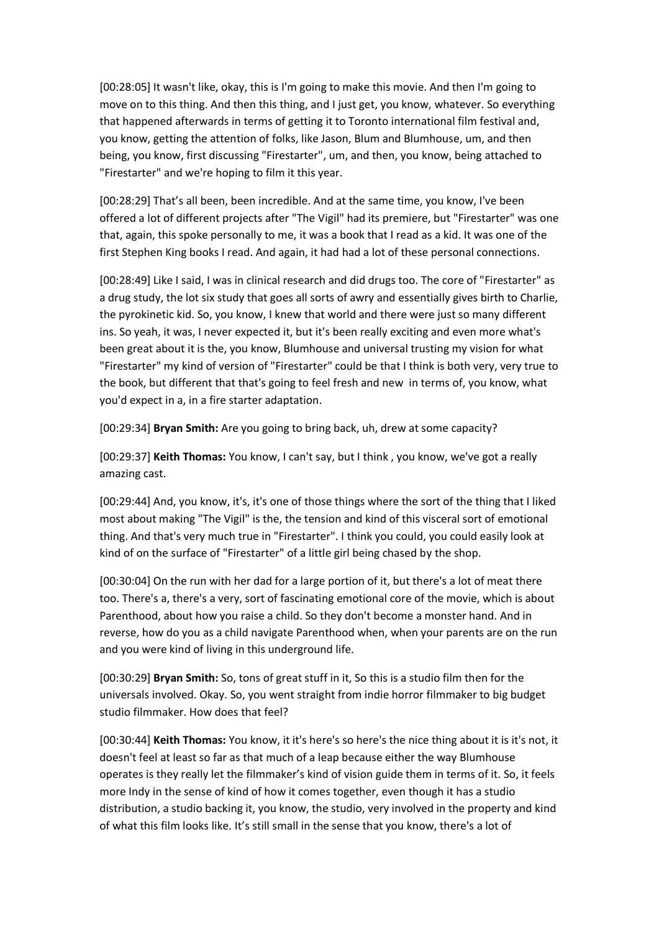[00:28:05] It wasn't like, okay, this is I'm going to make this movie. And then I'm going to move on to this thing. And then this thing, and I just get, you know, whatever. So everything that happened afterwards in terms of getting it to Toronto international film festival and, you know, getting the attention of folks, like Jason, Blum and Blumhouse, um, and then being, you know, first discussing "Firestarter", um, and then, you know, being attached to "Firestarter" and we're hoping to film it this year.

[00:28:29] That's all been, been incredible. And at the same time, you know, I've been offered a lot of different projects after "The Vigil" had its premiere, but "Firestarter" was one that, again, this spoke personally to me, it was a book that I read as a kid. It was one of the first Stephen King books I read. And again, it had had a lot of these personal connections.

[00:28:49] Like I said, I was in clinical research and did drugs too. The core of "Firestarter" as a drug study, the lot six study that goes all sorts of awry and essentially gives birth to Charlie, the pyrokinetic kid. So, you know, I knew that world and there were just so many different ins. So yeah, it was, I never expected it, but it's been really exciting and even more what's been great about it is the, you know, Blumhouse and universal trusting my vision for what "Firestarter" my kind of version of "Firestarter" could be that I think is both very, very true to the book, but different that that's going to feel fresh and new in terms of, you know, what you'd expect in a, in a fire starter adaptation.

[00:29:34] **Bryan Smith:** Are you going to bring back, uh, drew at some capacity?

[00:29:37] **Keith Thomas:** You know, I can't say, but I think , you know, we've got a really amazing cast.

[00:29:44] And, you know, it's, it's one of those things where the sort of the thing that I liked most about making "The Vigil" is the, the tension and kind of this visceral sort of emotional thing. And that's very much true in "Firestarter". I think you could, you could easily look at kind of on the surface of "Firestarter" of a little girl being chased by the shop.

[00:30:04] On the run with her dad for a large portion of it, but there's a lot of meat there too. There's a, there's a very, sort of fascinating emotional core of the movie, which is about Parenthood, about how you raise a child. So they don't become a monster hand. And in reverse, how do you as a child navigate Parenthood when, when your parents are on the run and you were kind of living in this underground life.

[00:30:29] **Bryan Smith:** So, tons of great stuff in it, So this is a studio film then for the universals involved. Okay. So, you went straight from indie horror filmmaker to big budget studio filmmaker. How does that feel?

[00:30:44] **Keith Thomas:** You know, it it's here's so here's the nice thing about it is it's not, it doesn't feel at least so far as that much of a leap because either the way Blumhouse operates is they really let the filmmaker's kind of vision guide them in terms of it. So, it feels more Indy in the sense of kind of how it comes together, even though it has a studio distribution, a studio backing it, you know, the studio, very involved in the property and kind of what this film looks like. It's still small in the sense that you know, there's a lot of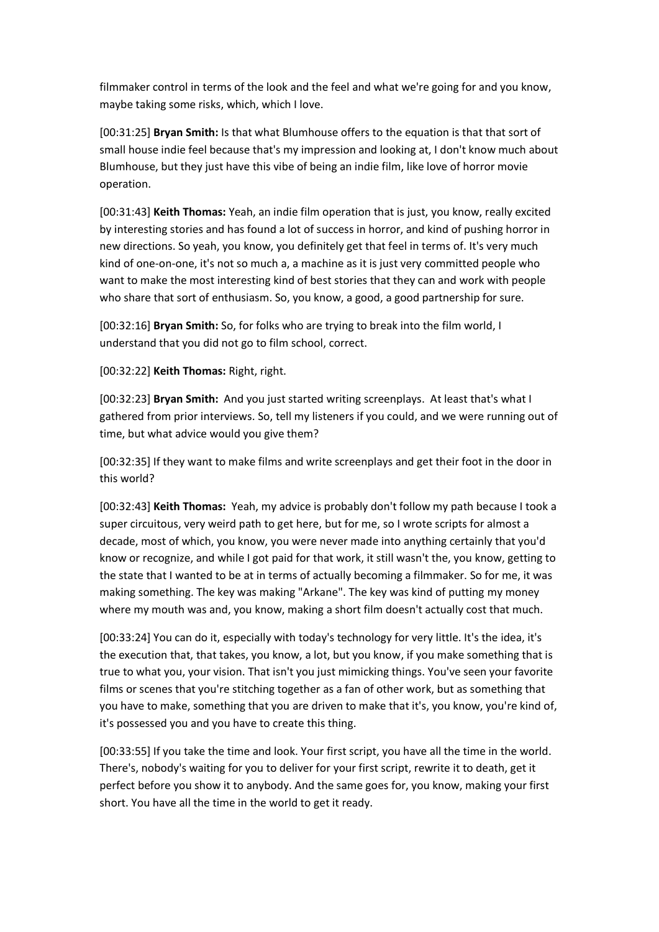filmmaker control in terms of the look and the feel and what we're going for and you know, maybe taking some risks, which, which I love.

[00:31:25] **Bryan Smith:** Is that what Blumhouse offers to the equation is that that sort of small house indie feel because that's my impression and looking at, I don't know much about Blumhouse, but they just have this vibe of being an indie film, like love of horror movie operation.

[00:31:43] **Keith Thomas:** Yeah, an indie film operation that is just, you know, really excited by interesting stories and has found a lot of success in horror, and kind of pushing horror in new directions. So yeah, you know, you definitely get that feel in terms of. It's very much kind of one-on-one, it's not so much a, a machine as it is just very committed people who want to make the most interesting kind of best stories that they can and work with people who share that sort of enthusiasm. So, you know, a good, a good partnership for sure.

[00:32:16] **Bryan Smith:** So, for folks who are trying to break into the film world, I understand that you did not go to film school, correct.

[00:32:22] **Keith Thomas:** Right, right.

[00:32:23] **Bryan Smith:** And you just started writing screenplays. At least that's what I gathered from prior interviews. So, tell my listeners if you could, and we were running out of time, but what advice would you give them?

[00:32:35] If they want to make films and write screenplays and get their foot in the door in this world?

[00:32:43] **Keith Thomas:** Yeah, my advice is probably don't follow my path because I took a super circuitous, very weird path to get here, but for me, so I wrote scripts for almost a decade, most of which, you know, you were never made into anything certainly that you'd know or recognize, and while I got paid for that work, it still wasn't the, you know, getting to the state that I wanted to be at in terms of actually becoming a filmmaker. So for me, it was making something. The key was making "Arkane". The key was kind of putting my money where my mouth was and, you know, making a short film doesn't actually cost that much.

[00:33:24] You can do it, especially with today's technology for very little. It's the idea, it's the execution that, that takes, you know, a lot, but you know, if you make something that is true to what you, your vision. That isn't you just mimicking things. You've seen your favorite films or scenes that you're stitching together as a fan of other work, but as something that you have to make, something that you are driven to make that it's, you know, you're kind of, it's possessed you and you have to create this thing.

[00:33:55] If you take the time and look. Your first script, you have all the time in the world. There's, nobody's waiting for you to deliver for your first script, rewrite it to death, get it perfect before you show it to anybody. And the same goes for, you know, making your first short. You have all the time in the world to get it ready.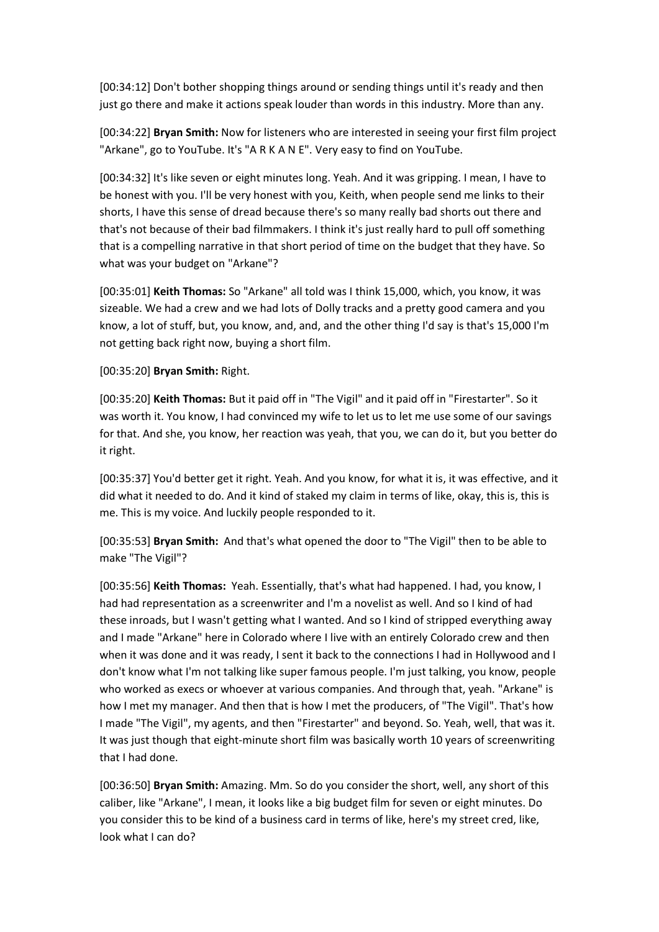[00:34:12] Don't bother shopping things around or sending things until it's ready and then just go there and make it actions speak louder than words in this industry. More than any.

[00:34:22] **Bryan Smith:** Now for listeners who are interested in seeing your first film project "Arkane", go to YouTube. It's "A R K A N E". Very easy to find on YouTube.

[00:34:32] It's like seven or eight minutes long. Yeah. And it was gripping. I mean, I have to be honest with you. I'll be very honest with you, Keith, when people send me links to their shorts, I have this sense of dread because there's so many really bad shorts out there and that's not because of their bad filmmakers. I think it's just really hard to pull off something that is a compelling narrative in that short period of time on the budget that they have. So what was your budget on "Arkane"?

[00:35:01] **Keith Thomas:** So "Arkane" all told was I think 15,000, which, you know, it was sizeable. We had a crew and we had lots of Dolly tracks and a pretty good camera and you know, a lot of stuff, but, you know, and, and, and the other thing I'd say is that's 15,000 I'm not getting back right now, buying a short film.

[00:35:20] **Bryan Smith:** Right.

[00:35:20] **Keith Thomas:** But it paid off in "The Vigil" and it paid off in "Firestarter". So it was worth it. You know, I had convinced my wife to let us to let me use some of our savings for that. And she, you know, her reaction was yeah, that you, we can do it, but you better do it right.

[00:35:37] You'd better get it right. Yeah. And you know, for what it is, it was effective, and it did what it needed to do. And it kind of staked my claim in terms of like, okay, this is, this is me. This is my voice. And luckily people responded to it.

[00:35:53] **Bryan Smith:** And that's what opened the door to "The Vigil" then to be able to make "The Vigil"?

[00:35:56] **Keith Thomas:** Yeah. Essentially, that's what had happened. I had, you know, I had had representation as a screenwriter and I'm a novelist as well. And so I kind of had these inroads, but I wasn't getting what I wanted. And so I kind of stripped everything away and I made "Arkane" here in Colorado where I live with an entirely Colorado crew and then when it was done and it was ready, I sent it back to the connections I had in Hollywood and I don't know what I'm not talking like super famous people. I'm just talking, you know, people who worked as execs or whoever at various companies. And through that, yeah. "Arkane" is how I met my manager. And then that is how I met the producers, of "The Vigil". That's how I made "The Vigil", my agents, and then "Firestarter" and beyond. So. Yeah, well, that was it. It was just though that eight-minute short film was basically worth 10 years of screenwriting that I had done.

[00:36:50] **Bryan Smith:** Amazing. Mm. So do you consider the short, well, any short of this caliber, like "Arkane", I mean, it looks like a big budget film for seven or eight minutes. Do you consider this to be kind of a business card in terms of like, here's my street cred, like, look what I can do?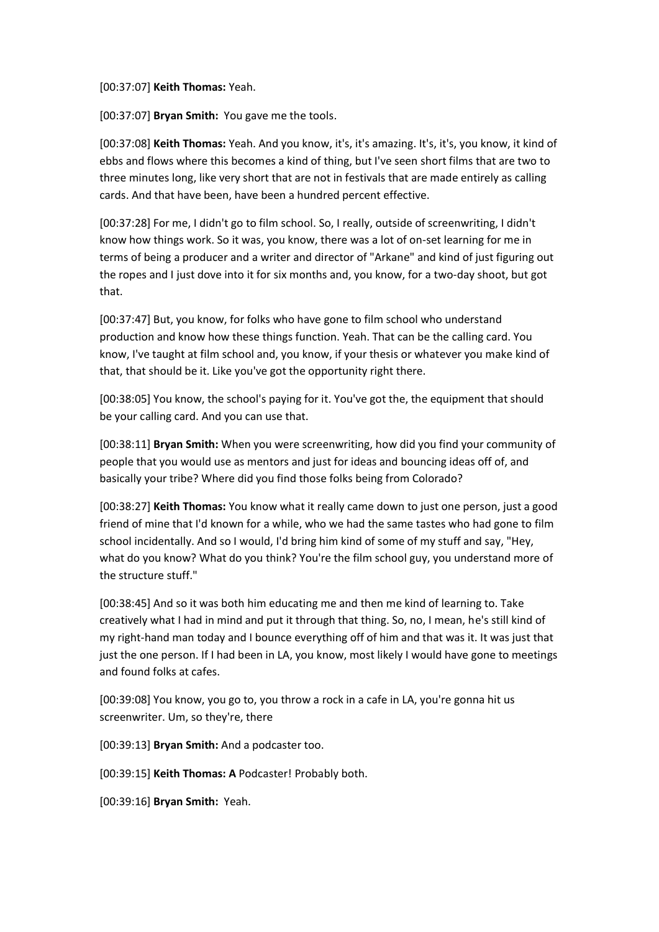[00:37:07] **Keith Thomas:** Yeah.

[00:37:07] **Bryan Smith:** You gave me the tools.

[00:37:08] **Keith Thomas:** Yeah. And you know, it's, it's amazing. It's, it's, you know, it kind of ebbs and flows where this becomes a kind of thing, but I've seen short films that are two to three minutes long, like very short that are not in festivals that are made entirely as calling cards. And that have been, have been a hundred percent effective.

[00:37:28] For me, I didn't go to film school. So, I really, outside of screenwriting, I didn't know how things work. So it was, you know, there was a lot of on-set learning for me in terms of being a producer and a writer and director of "Arkane" and kind of just figuring out the ropes and I just dove into it for six months and, you know, for a two-day shoot, but got that.

[00:37:47] But, you know, for folks who have gone to film school who understand production and know how these things function. Yeah. That can be the calling card. You know, I've taught at film school and, you know, if your thesis or whatever you make kind of that, that should be it. Like you've got the opportunity right there.

[00:38:05] You know, the school's paying for it. You've got the, the equipment that should be your calling card. And you can use that.

[00:38:11] **Bryan Smith:** When you were screenwriting, how did you find your community of people that you would use as mentors and just for ideas and bouncing ideas off of, and basically your tribe? Where did you find those folks being from Colorado?

[00:38:27] **Keith Thomas:** You know what it really came down to just one person, just a good friend of mine that I'd known for a while, who we had the same tastes who had gone to film school incidentally. And so I would, I'd bring him kind of some of my stuff and say, "Hey, what do you know? What do you think? You're the film school guy, you understand more of the structure stuff."

[00:38:45] And so it was both him educating me and then me kind of learning to. Take creatively what I had in mind and put it through that thing. So, no, I mean, he's still kind of my right-hand man today and I bounce everything off of him and that was it. It was just that just the one person. If I had been in LA, you know, most likely I would have gone to meetings and found folks at cafes.

[00:39:08] You know, you go to, you throw a rock in a cafe in LA, you're gonna hit us screenwriter. Um, so they're, there

[00:39:13] **Bryan Smith:** And a podcaster too.

[00:39:15] **Keith Thomas: A** Podcaster! Probably both.

[00:39:16] **Bryan Smith:** Yeah.